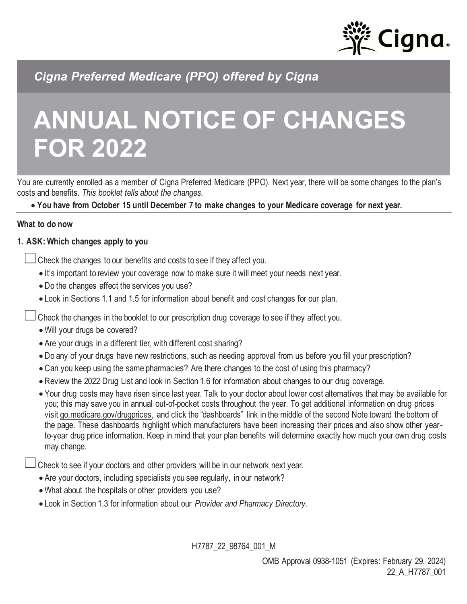

*Cigna Preferred Medicare (PPO) offered by Cigna*

# **ANNUAL NOTICE OF CHANGES FOR 2022**

You are currently enrolled as a member of Cigna Preferred Medicare (PPO). Next year, there will be some changes to the plan's costs and benefits. *This booklet tells about the changes.*

• **You have from October 15 until December 7 to make changes to your Medicare coverage for next year.**

#### **What to do now**

## **1. ASK: Which changes apply to you**

Check the changes to our benefits and costs to see if they affect you.

- It's important to review your coverage now to make sure it will meet your needs next year.
- Do the changes affect the services you use?
- Look in Sections 1.1 and 1.5 for information about benefit and cost changes for our plan.

Check the changes in the booklet to our prescription drug coverage to see if they affect you.

- Will your drugs be covered?
- Are your drugs in a different tier, with different cost sharing?
- Do any of your drugs have new restrictions, such as needing approval from us before you fill your prescription?
- Can you keep using the same pharmacies? Are there changes to the cost of using this pharmacy?
- Review the 2022 Drug List and look in Section 1.6 for information about changes to our drug coverage.
- Your drug costs may have risen since last year. Talk to your doctor about lower cost alternatives that may be available for you; this may save you in annual out-of-pocket costs throughout the year. To get additional information on drug prices visit [go.medicare.gov/drugprices,](go.medicare.gov/drugprices) and click the "dashboards" link in the middle of the second Note toward the bottom of the page. These dashboards highlight which manufacturers have been increasing their prices and also show other yearto-year drug price information. Keep in mind that your plan benefits will determine exactly how much your own drug costs may change.

Check to see if your doctors and other providers will be in our network next year.

- Are your doctors, including specialists you see regularly, in our network?
- What about the hospitals or other providers you use?
- Look in Section 1.3 for information about our *Provider and Pharmacy Directory.*

H7787\_22\_98764\_001\_M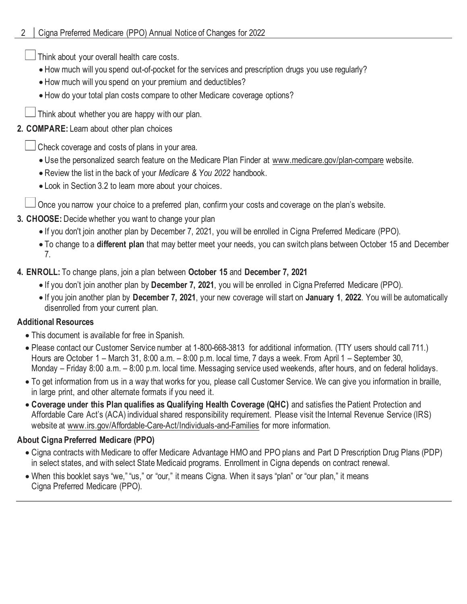Think about your overall health care costs.

- How much will you spend out-of-pocket for the services and prescription drugs you use regularly?
- How much will you spend on your premium and deductibles?
- How do your total plan costs compare to other Medicare coverage options?
- $\Box$  Think about whether you are happy with our plan.

# **2. COMPARE:** Learn about other plan choices

Check coverage and costs of plans in your area.

- Use the personalized search feature on the Medicare Plan Finder at www.medicare.gov/plan-compare website.
- Review the list in the back of your *Medicare & You 2022* handbook.
- Look in Section 3.2 to learn more about your choices.

Once you narrow your choice to a preferred plan, confirm your costs and coverage on the plan's website.

- **3. CHOOSE:** Decide whether you want to change your plan
	- If you don't join another plan by December 7, 2021, you will be enrolled in Cigna Preferred Medicare (PPO).
	- To change to a **different plan** that may better meet your needs, you can switch plans between October 15 and December 7.
- **4. ENROLL:** To change plans, join a plan between **October 15** and **December 7, 2021**
	- If you don't join another plan by **December 7, 2021**, you will be enrolled in Cigna Preferred Medicare (PPO).
	- If you join another plan by **December 7, 2021**, your new coverage will start on **January 1**, **2022**. You will be automatically disenrolled from your current plan.

# **Additional Resources**

- This document is available for free in Spanish.
- Please contact our Customer Service number at 1-800-668-3813 for additional information. (TTY users should call 711.) Hours are October 1 – March 31, 8:00 a.m. – 8:00 p.m. local time, 7 days a week. From April 1 – September 30, Monday – Friday 8:00 a.m. – 8:00 p.m. local time. Messaging service used weekends, after hours, and on federal holidays.
- To get information from us in a way that works for you, please call Customer Service. We can give you information in braille, in large print, and other alternate formats if you need it.
- **Coverage under this Plan qualifies as Qualifying Health Coverage (QHC)** and satisfies the Patient Protection and Affordable Care Act's (ACA) individual shared responsibility requirement. Please visit the Internal Revenue Service (IRS) website at www.irs.gov/Affordable-Care-Act/Individuals-and-Families for more information.

# **About Cigna Preferred Medicare (PPO)**

- Cigna contracts with Medicare to offer Medicare Advantage HMO and PPO plans and Part D Prescription Drug Plans (PDP) in select states, and with select State Medicaid programs. Enrollment in Cigna depends on contract renewal.
- When this booklet says "we," "us," or "our," it means Cigna. When it says "plan" or "our plan," it means Cigna Preferred Medicare (PPO).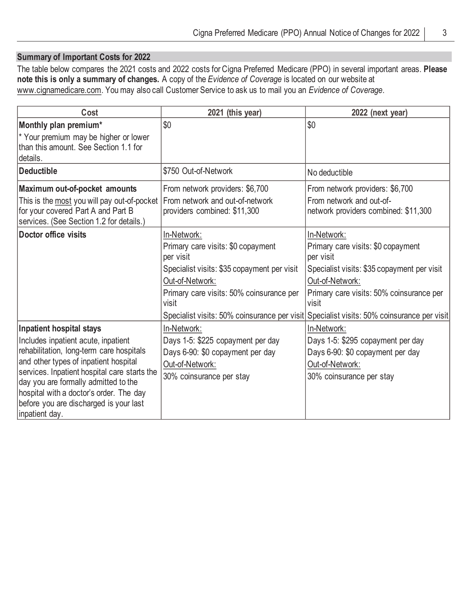## **Summary of Important Costs for 2022**

The table below compares the 2021 costs and 2022 costs for Cigna Preferred Medicare (PPO) in several important areas. **Please note this is only a summary of changes.** A copy of the *Evidence of Coverage* is located on our website at www.cignamedicare.com. You may also call Customer Service to ask us to mail you an *Evidence of Coverage*.

| Cost                                                                                                                                                                                                                                                                                                                                                | 2021 (this year)                                                                                                                                                                      | 2022 (next year)                                                                                                                                                                                                                                                                   |
|-----------------------------------------------------------------------------------------------------------------------------------------------------------------------------------------------------------------------------------------------------------------------------------------------------------------------------------------------------|---------------------------------------------------------------------------------------------------------------------------------------------------------------------------------------|------------------------------------------------------------------------------------------------------------------------------------------------------------------------------------------------------------------------------------------------------------------------------------|
| Monthly plan premium*<br>* Your premium may be higher or lower<br>than this amount. See Section 1.1 for<br>details.                                                                                                                                                                                                                                 | \$0                                                                                                                                                                                   | \$0                                                                                                                                                                                                                                                                                |
| Deductible                                                                                                                                                                                                                                                                                                                                          | \$750 Out-of-Network                                                                                                                                                                  | No deductible                                                                                                                                                                                                                                                                      |
| Maximum out-of-pocket amounts<br>This is the most you will pay out-of-pocket<br>for your covered Part A and Part B<br>services. (See Section 1.2 for details.)                                                                                                                                                                                      | From network providers: \$6,700<br>From network and out-of-network<br>providers combined: \$11,300                                                                                    | From network providers: \$6,700<br>From network and out-of-<br>network providers combined: \$11,300                                                                                                                                                                                |
| Doctor office visits                                                                                                                                                                                                                                                                                                                                | In-Network:<br>Primary care visits: \$0 copayment<br>per visit<br>Specialist visits: \$35 copayment per visit<br>Out-of-Network:<br>Primary care visits: 50% coinsurance per<br>visit | In-Network:<br>Primary care visits: \$0 copayment<br>per visit<br>Specialist visits: \$35 copayment per visit<br>Out-of-Network:<br>Primary care visits: 50% coinsurance per<br>visit<br>Specialist visits: 50% coinsurance per visit Specialist visits: 50% coinsurance per visit |
| Inpatient hospital stays<br>Includes inpatient acute, inpatient<br>rehabilitation, long-term care hospitals<br>and other types of inpatient hospital<br>services. Inpatient hospital care starts the<br>day you are formally admitted to the<br>hospital with a doctor's order. The day<br>before you are discharged is your last<br>inpatient day. | In-Network:<br>Days 1-5: \$225 copayment per day<br>Days 6-90: \$0 copayment per day<br>Out-of-Network:<br>30% coinsurance per stay                                                   | In-Network:<br>Days 1-5: \$295 copayment per day<br>Days 6-90: \$0 copayment per day<br>Out-of-Network:<br>30% coinsurance per stay                                                                                                                                                |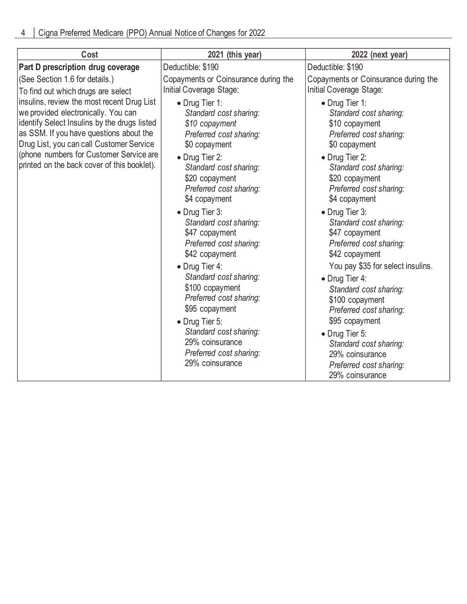| Cost                                                                                                                                                                                                                                                                                                               | 2021 (this year)                                                                                                                                                                                                                                                                                                                                                                                                                                                                                                                                     | 2022 (next year)                                                                                                                                                                                                                                                                                                                                                                                                                                                                                                                                                                          |
|--------------------------------------------------------------------------------------------------------------------------------------------------------------------------------------------------------------------------------------------------------------------------------------------------------------------|------------------------------------------------------------------------------------------------------------------------------------------------------------------------------------------------------------------------------------------------------------------------------------------------------------------------------------------------------------------------------------------------------------------------------------------------------------------------------------------------------------------------------------------------------|-------------------------------------------------------------------------------------------------------------------------------------------------------------------------------------------------------------------------------------------------------------------------------------------------------------------------------------------------------------------------------------------------------------------------------------------------------------------------------------------------------------------------------------------------------------------------------------------|
| Part D prescription drug coverage                                                                                                                                                                                                                                                                                  | Deductible: \$190                                                                                                                                                                                                                                                                                                                                                                                                                                                                                                                                    | Deductible: \$190                                                                                                                                                                                                                                                                                                                                                                                                                                                                                                                                                                         |
| (See Section 1.6 for details.)<br>To find out which drugs are select                                                                                                                                                                                                                                               | Copayments or Coinsurance during the<br>Initial Coverage Stage:                                                                                                                                                                                                                                                                                                                                                                                                                                                                                      | Copayments or Coinsurance during the<br>Initial Coverage Stage:                                                                                                                                                                                                                                                                                                                                                                                                                                                                                                                           |
| insulins, review the most recent Drug List<br>we provided electronically. You can<br>identify Select Insulins by the drugs listed<br>as SSM. If you have questions about the<br>Drug List, you can call Customer Service<br>(phone numbers for Customer Service are<br>printed on the back cover of this booklet). | • Drug Tier 1:<br>Standard cost sharing:<br>\$10 copayment<br>Preferred cost sharing:<br>\$0 copayment<br>• Drug Tier 2:<br>Standard cost sharing:<br>\$20 copayment<br>Preferred cost sharing:<br>\$4 copayment<br>• Drug Tier 3:<br>Standard cost sharing:<br>\$47 copayment<br>Preferred cost sharing:<br>\$42 copayment<br>• Drug Tier 4:<br>Standard cost sharing:<br>\$100 copayment<br>Preferred cost sharing:<br>\$95 copayment<br>• Drug Tier 5:<br>Standard cost sharing:<br>29% coinsurance<br>Preferred cost sharing:<br>29% coinsurance | • Drug Tier 1:<br>Standard cost sharing:<br>\$10 copayment<br>Preferred cost sharing:<br>\$0 copayment<br>• Drug Tier 2:<br>Standard cost sharing:<br>\$20 copayment<br>Preferred cost sharing:<br>\$4 copayment<br>• Drug Tier 3:<br>Standard cost sharing:<br>\$47 copayment<br>Preferred cost sharing:<br>\$42 copayment<br>You pay \$35 for select insulins.<br>• Drug Tier 4:<br>Standard cost sharing:<br>\$100 copayment<br>Preferred cost sharing:<br>\$95 copayment<br>• Drug Tier 5:<br>Standard cost sharing:<br>29% coinsurance<br>Preferred cost sharing:<br>29% coinsurance |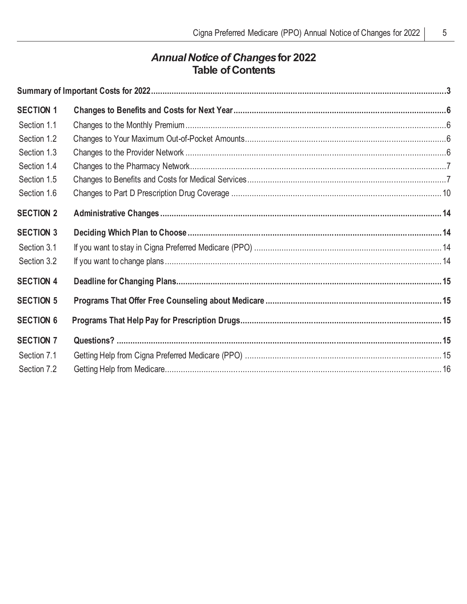# *Annual Notice of Changes***for 2022 Table of Contents**

| <b>SECTION 1</b> |  |
|------------------|--|
| Section 1.1      |  |
| Section 1.2      |  |
| Section 1.3      |  |
| Section 1.4      |  |
| Section 1.5      |  |
| Section 1.6      |  |
| <b>SECTION 2</b> |  |
| <b>SECTION 3</b> |  |
| Section 3.1      |  |
| Section 3.2      |  |
| <b>SECTION 4</b> |  |
| <b>SECTION 5</b> |  |
| <b>SECTION 6</b> |  |
| <b>SECTION 7</b> |  |
| Section 7.1      |  |
| Section 7.2      |  |
|                  |  |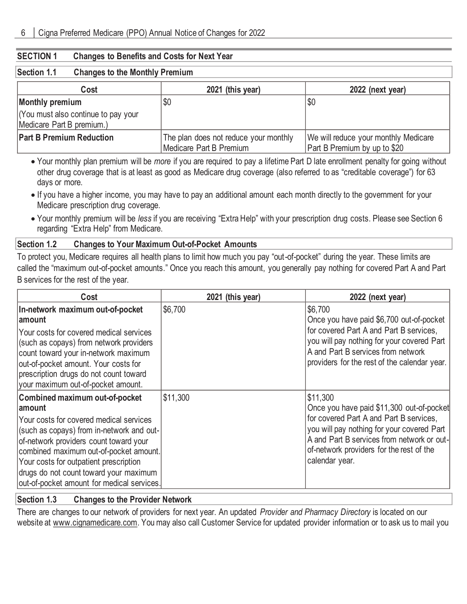#### **SECTION 1 Changes to Benefits and Costs for Next Year**

#### **Section 1.1 Changes to the Monthly Premium**

| Cost                                                             | 2021 (this year)                                                 | 2022 (next year)                                                     |
|------------------------------------------------------------------|------------------------------------------------------------------|----------------------------------------------------------------------|
| Monthly premium                                                  | \$0                                                              | \$0                                                                  |
| (You must also continue to pay your<br>Medicare Part B premium.) |                                                                  |                                                                      |
| <b>Part B Premium Reduction</b>                                  | The plan does not reduce your monthly<br>Medicare Part B Premium | We will reduce your monthly Medicare<br>Part B Premium by up to \$20 |

• Your monthly plan premium will be *more* if you are required to pay a lifetime Part D late enrollment penalty for going without other drug coverage that is at least as good as Medicare drug coverage (also referred to as "creditable coverage") for 63 days or more.

- If you have a higher income, you may have to pay an additional amount each month directly to the government for your Medicare prescription drug coverage.
- Your monthly premium will be *less* if you are receiving "Extra Help" with your prescription drug costs. Please see Section 6 regarding "Extra Help" from Medicare.

#### **Section 1.2 Changes to Your Maximum Out-of-Pocket Amounts**

To protect you, Medicare requires all health plans to limit how much you pay "out-of-pocket" during the year. These limits are called the "maximum out-of-pocket amounts." Once you reach this amount, you generally pay nothing for covered Part A and Part B services for the rest of the year.

| Cost                                                                                                                                                                                                                                                                                                                                                    | 2021 (this year) | 2022 (next year)                                                                                                                                                                                                                                           |
|---------------------------------------------------------------------------------------------------------------------------------------------------------------------------------------------------------------------------------------------------------------------------------------------------------------------------------------------------------|------------------|------------------------------------------------------------------------------------------------------------------------------------------------------------------------------------------------------------------------------------------------------------|
| In-network maximum out-of-pocket<br>∣amount                                                                                                                                                                                                                                                                                                             | \$6,700          | \$6,700<br>Once you have paid \$6,700 out-of-pocket                                                                                                                                                                                                        |
| Your costs for covered medical services<br>(such as copays) from network providers<br>count toward your in-network maximum<br>out-of-pocket amount. Your costs for<br>prescription drugs do not count toward<br>vour maximum out-of-pocket amount.                                                                                                      |                  | for covered Part A and Part B services,<br>you will pay nothing for your covered Part<br>A and Part B services from network<br>providers for the rest of the calendar year.                                                                                |
| Combined maximum out-of-pocket<br>∣amount<br>Your costs for covered medical services<br>(such as copays) from in-network and out-<br>of-network providers count toward your<br>combined maximum out-of-pocket amount.<br>Your costs for outpatient prescription<br>drugs do not count toward your maximum<br>out-of-pocket amount for medical services. | \$11,300         | \$11,300<br>Once you have paid \$11,300 out-of-pocket<br>for covered Part A and Part B services,<br>you will pay nothing for your covered Part<br>A and Part B services from network or out-<br>of-network providers for the rest of the<br>calendar year. |

#### **Section 1.3 Changes to the Provider Network**

There are changes to our network of providers for next year. An updated *Provider and Pharmacy Directory* is located on our website at www.cignamedicare.com. You may also call Customer Service for updated provider information or to ask us to mail you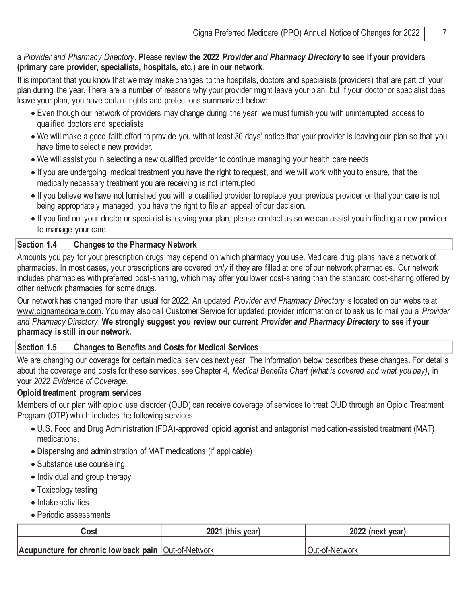## a *Provider and Pharmacy Directory*. **Please review the 2022** *Provider and Pharmacy Directory* **to see if your providers (primary care provider, specialists, hospitals, etc.) are in our network**.

It is important that you know that we may make changes to the hospitals, doctors and specialists (providers) that are part of your plan during the year. There are a number of reasons why your provider might leave your plan, but if your doctor or specialist does leave your plan, you have certain rights and protections summarized below:

- Even though our network of providers may change during the year, we must furnish you with uninterrupted access to qualified doctors and specialists.
- We will make a good faith effort to provide you with at least 30 days' notice that your provider is leaving our plan so that you have time to select a new provider.
- We will assist you in selecting a new qualified provider to continue managing your health care needs.
- If you are undergoing medical treatment you have the right to request, and we will work with you to ensure, that the medically necessary treatment you are receiving is not interrupted.
- If you believe we have not furnished you with a qualified provider to replace your previous provider or that your care is not being appropriately managed, you have the right to file an appeal of our decision.
- If you find out your doctor or specialist is leaving your plan, please contact us so we can assist you in finding a new provi der to manage your care.

## **Section 1.4 Changes to the Pharmacy Network**

Amounts you pay for your prescription drugs may depend on which pharmacy you use. Medicare drug plans have a network of pharmacies. In most cases, your prescriptions are covered *only* if they are filled at one of our network pharmacies. Our network includes pharmacies with preferred cost-sharing, which may offer you lower cost-sharing than the standard cost-sharing offered by other network pharmacies for some drugs.

Our network has changed more than usual for 2022. An updated *Provider and Pharmacy Directory* is located on our website at www.cignamedicare.com. You may also call Customer Service for updated provider information or to ask us to mail you a *Provider and Pharmacy Directory*. **We strongly suggest you review our current** *Provider and Pharmacy Directory* **to see if your pharmacy is still in our network.**

#### **Section 1.5 Changes to Benefits and Costs for Medical Services**

We are changing our coverage for certain medical services next year. The information below describes these changes. For detai ls about the coverage and costs for these services, see Chapter 4, *Medical Benefits Chart (what is covered and what you pay)*, in your *2022 Evidence of Coverage*.

#### **Opioid treatment program services**

Members of our plan with opioid use disorder (OUD) can receive coverage of services to treat OUD through an Opioid Treatment Program (OTP) which includes the following services:

- U.S. Food and Drug Administration (FDA)-approved opioid agonist and antagonist medication-assisted treatment (MAT) medications.
- Dispensing and administration of MAT medications (if applicable)
- Substance use counseling
- Individual and group therapy
- Toxicology testing
- Intake activities
- Periodic assessments

| Cost                                                   | 2021 (this year) | 2022 (next year) |
|--------------------------------------------------------|------------------|------------------|
|                                                        |                  |                  |
| Acupuncture for chronic low back pain   Out-of-Network |                  | Out-of-Network   |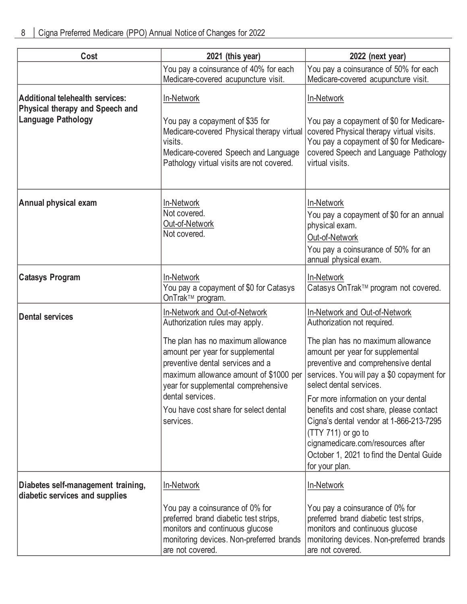| Cost                                                                                                   | 2021 (this year)                                                                                                                                                                                                                                                                                                                        | 2022 (next year)                                                                                                                                                                                                                                                                                                                                                                                                                                                                          |
|--------------------------------------------------------------------------------------------------------|-----------------------------------------------------------------------------------------------------------------------------------------------------------------------------------------------------------------------------------------------------------------------------------------------------------------------------------------|-------------------------------------------------------------------------------------------------------------------------------------------------------------------------------------------------------------------------------------------------------------------------------------------------------------------------------------------------------------------------------------------------------------------------------------------------------------------------------------------|
|                                                                                                        | You pay a coinsurance of 40% for each<br>Medicare-covered acupuncture visit.                                                                                                                                                                                                                                                            | You pay a coinsurance of 50% for each<br>Medicare-covered acupuncture visit.                                                                                                                                                                                                                                                                                                                                                                                                              |
| <b>Additional telehealth services:</b><br><b>Physical therapy and Speech and</b><br>Language Pathology | In-Network<br>You pay a copayment of \$35 for<br>Medicare-covered Physical therapy virtual<br>visits.<br>Medicare-covered Speech and Language                                                                                                                                                                                           | In-Network<br>You pay a copayment of \$0 for Medicare-<br>covered Physical therapy virtual visits.<br>You pay a copayment of \$0 for Medicare-<br>covered Speech and Language Pathology                                                                                                                                                                                                                                                                                                   |
|                                                                                                        | Pathology virtual visits are not covered.                                                                                                                                                                                                                                                                                               | virtual visits.                                                                                                                                                                                                                                                                                                                                                                                                                                                                           |
| Annual physical exam                                                                                   | In-Network<br>Not covered.<br>Out-of-Network<br>Not covered.                                                                                                                                                                                                                                                                            | In-Network<br>You pay a copayment of \$0 for an annual<br>physical exam.<br>Out-of-Network<br>You pay a coinsurance of 50% for an<br>annual physical exam.                                                                                                                                                                                                                                                                                                                                |
| <b>Catasys Program</b>                                                                                 | In-Network<br>You pay a copayment of \$0 for Catasys<br>OnTrak™ program.                                                                                                                                                                                                                                                                | In-Network<br>Catasys OnTrak™ program not covered.                                                                                                                                                                                                                                                                                                                                                                                                                                        |
| <b>Dental services</b>                                                                                 | In-Network and Out-of-Network<br>Authorization rules may apply.<br>The plan has no maximum allowance<br>amount per year for supplemental<br>preventive dental services and a<br>maximum allowance amount of \$1000 per<br>year for supplemental comprehensive<br>dental services.<br>You have cost share for select dental<br>services. | In-Network and Out-of-Network<br>Authorization not required.<br>The plan has no maximum allowance<br>amount per year for supplemental<br>preventive and comprehensive dental<br>services. You will pay a \$0 copayment for<br>select dental services.<br>For more information on your dental<br>benefits and cost share, please contact<br>Cigna's dental vendor at 1-866-213-7295<br>(TTY 711) or go to<br>cignamedicare.com/resources after<br>October 1, 2021 to find the Dental Guide |
| Diabetes self-management training,<br>diabetic services and supplies                                   | In-Network<br>You pay a coinsurance of 0% for<br>preferred brand diabetic test strips,<br>monitors and continuous glucose<br>monitoring devices. Non-preferred brands<br>are not covered.                                                                                                                                               | for your plan.<br>In-Network<br>You pay a coinsurance of 0% for<br>preferred brand diabetic test strips,<br>monitors and continuous glucose<br>monitoring devices. Non-preferred brands<br>are not covered.                                                                                                                                                                                                                                                                               |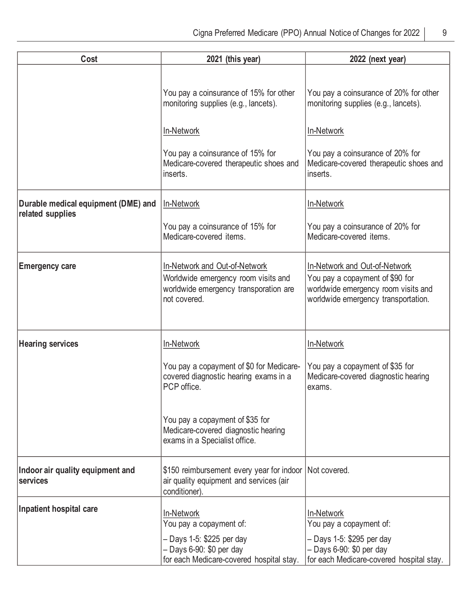| Cost                                                    | 2021 (this year)                                                                                                              | 2022 (next year)                                                                                                                               |
|---------------------------------------------------------|-------------------------------------------------------------------------------------------------------------------------------|------------------------------------------------------------------------------------------------------------------------------------------------|
|                                                         | You pay a coinsurance of 15% for other<br>monitoring supplies (e.g., lancets).                                                | You pay a coinsurance of 20% for other<br>monitoring supplies (e.g., lancets).                                                                 |
|                                                         | In-Network                                                                                                                    | In-Network                                                                                                                                     |
|                                                         | You pay a coinsurance of 15% for<br>Medicare-covered therapeutic shoes and<br>inserts.                                        | You pay a coinsurance of 20% for<br>Medicare-covered therapeutic shoes and<br>inserts.                                                         |
| Durable medical equipment (DME) and<br>related supplies | In-Network                                                                                                                    | In-Network                                                                                                                                     |
|                                                         | You pay a coinsurance of 15% for<br>Medicare-covered items.                                                                   | You pay a coinsurance of 20% for<br>Medicare-covered items.                                                                                    |
| <b>Emergency care</b>                                   | In-Network and Out-of-Network<br>Worldwide emergency room visits and<br>worldwide emergency transporation are<br>not covered. | In-Network and Out-of-Network<br>You pay a copayment of \$90 for<br>worldwide emergency room visits and<br>worldwide emergency transportation. |
| <b>Hearing services</b>                                 | In-Network                                                                                                                    | In-Network                                                                                                                                     |
|                                                         | You pay a copayment of \$0 for Medicare-<br>covered diagnostic hearing exams in a<br>PCP office.                              | You pay a copayment of \$35 for<br>Medicare-covered diagnostic hearing<br>exams.                                                               |
|                                                         | You pay a copayment of \$35 for<br>Medicare-covered diagnostic hearing<br>exams in a Specialist office.                       |                                                                                                                                                |
| Indoor air quality equipment and<br>services            | \$150 reimbursement every year for indoor Not covered.<br>air quality equipment and services (air<br>conditioner).            |                                                                                                                                                |
| Inpatient hospital care                                 | In-Network<br>You pay a copayment of:                                                                                         | In-Network<br>You pay a copayment of:                                                                                                          |
|                                                         | - Days 1-5: \$225 per day<br>$-$ Days 6-90: \$0 per day<br>for each Medicare-covered hospital stay.                           | - Days 1-5: \$295 per day<br>$-$ Days 6-90: \$0 per day<br>for each Medicare-covered hospital stay.                                            |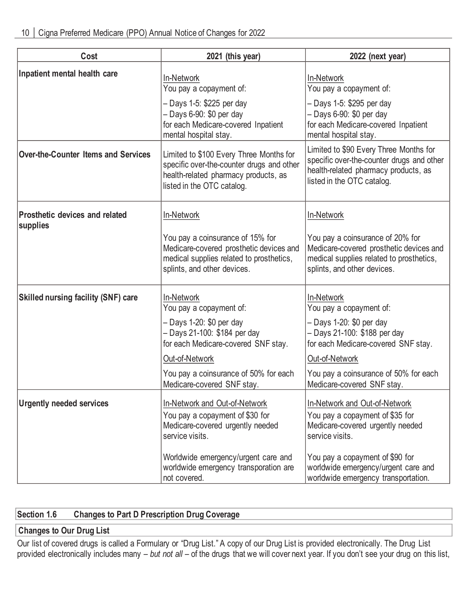| Cost                                              | 2021 (this year)                                                                                                                                           | 2022 (next year)                                                                                                                                          |
|---------------------------------------------------|------------------------------------------------------------------------------------------------------------------------------------------------------------|-----------------------------------------------------------------------------------------------------------------------------------------------------------|
| Inpatient mental health care                      | In-Network<br>You pay a copayment of:                                                                                                                      | In-Network<br>You pay a copayment of:                                                                                                                     |
|                                                   | - Days 1-5: \$225 per day<br>$-$ Days 6-90: \$0 per day<br>for each Medicare-covered Inpatient<br>mental hospital stay.                                    | - Days 1-5: \$295 per day<br>- Days 6-90: \$0 per day<br>for each Medicare-covered Inpatient<br>mental hospital stay.                                     |
| <b>Over-the-Counter Items and Services</b>        | Limited to \$100 Every Three Months for<br>specific over-the-counter drugs and other<br>health-related pharmacy products, as<br>listed in the OTC catalog. | Limited to \$90 Every Three Months for<br>specific over-the-counter drugs and other<br>health-related pharmacy products, as<br>listed in the OTC catalog. |
| <b>Prosthetic devices and related</b><br>supplies | In-Network                                                                                                                                                 | In-Network                                                                                                                                                |
|                                                   | You pay a coinsurance of 15% for<br>Medicare-covered prosthetic devices and<br>medical supplies related to prosthetics,<br>splints, and other devices.     | You pay a coinsurance of 20% for<br>Medicare-covered prosthetic devices and<br>medical supplies related to prosthetics,<br>splints, and other devices.    |
| <b>Skilled nursing facility (SNF) care</b>        | In-Network<br>You pay a copayment of:                                                                                                                      | In-Network<br>You pay a copayment of:                                                                                                                     |
|                                                   | - Days 1-20: \$0 per day<br>- Days 21-100: \$184 per day<br>for each Medicare-covered SNF stay.                                                            | - Days 1-20: \$0 per day<br>- Days 21-100: \$188 per day<br>for each Medicare-covered SNF stay.                                                           |
|                                                   | Out-of-Network                                                                                                                                             | Out-of-Network                                                                                                                                            |
|                                                   | You pay a coinsurance of 50% for each<br>Medicare-covered SNF stay.                                                                                        | You pay a coinsurance of 50% for each<br>Medicare-covered SNF stay.                                                                                       |
| <b>Urgently needed services</b>                   | In-Network and Out-of-Network<br>You pay a copayment of \$30 for<br>Medicare-covered urgently needed<br>service visits.                                    | In-Network and Out-of-Network<br>You pay a copayment of \$35 for<br>Medicare-covered urgently needed<br>service visits.                                   |
|                                                   | Worldwide emergency/urgent care and<br>worldwide emergency transporation are<br>not covered.                                                               | You pay a copayment of \$90 for<br>worldwide emergency/urgent care and<br>worldwide emergency transportation.                                             |

# **Section 1.6 Changes to Part D Prescription Drug Coverage**

## **Changes to Our Drug List**

Our list of covered drugs is called a Formulary or "Drug List." A copy of our Drug List is provided electronically. The Drug List provided electronically includes many – *but not all* – of the drugs that we will cover next year. If you don't see your drug on this list,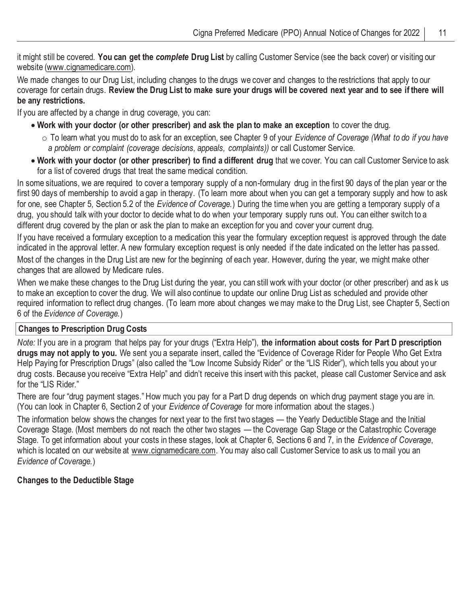it might still be covered. **You can get the** *complete* **Drug List** by calling Customer Service (see the back cover) or visiting our website (www.cignamedicare.com).

We made changes to our Drug List, including changes to the drugs we cover and changes to the restrictions that apply to our coverage for certain drugs. **Review the Drug List to make sure your drugs will be covered next year and to see if there will be any restrictions.**

If you are affected by a change in drug coverage, you can:

- **Work with your doctor (or other prescriber) and ask the plan to make an exception** to cover the drug.
	- o To learn what you must do to ask for an exception, see Chapter 9 of your *Evidence of Coverage (What to do if you have a problem or complaint (coverage decisions, appeals, complaints))* or call Customer Service.
- **Work with your doctor (or other prescriber) to find a different drug** that we cover. You can call Customer Service to ask for a list of covered drugs that treat the same medical condition.

In some situations, we are required to cover a temporary supply of a non-formulary drug in the first 90 days of the plan year or the first 90 days of membership to avoid a gap in therapy. (To learn more about when you can get a temporary supply and how to ask for one, see Chapter 5, Section 5.2 of the *Evidence of Coverage.*) During the time when you are getting a temporary supply of a drug, you should talk with your doctor to decide what to do when your temporary supply runs out. You can either switch to a different drug covered by the plan or ask the plan to make an exception for you and cover your current drug.

If you have received a formulary exception to a medication this year the formulary exception request is approved through the date indicated in the approval letter. A new formulary exception request is only needed if the date indicated on the letter has passed. Most of the changes in the Drug List are new for the beginning of each year. However, during the year, we might make other changes that are allowed by Medicare rules.

When we make these changes to the Drug List during the year, you can still work with your doctor (or other prescriber) and as k us to make an exception to cover the drug. We will also continue to update our online Drug List as scheduled and provide other required information to reflect drug changes. (To learn more about changes we may make to the Drug List, see Chapter 5, Secti on 6 of the *Evidence of Coverage.*)

#### **Changes to Prescription Drug Costs**

*Note:* If you are in a program that helps pay for your drugs ("Extra Help"), **the information about costs for Part D prescription drugs may not apply to you.** We sent you a separate insert, called the "Evidence of Coverage Rider for People Who Get Extra Help Paying for Prescription Drugs" (also called the "Low Income Subsidy Rider" or the "LIS Rider"), which tells you about your drug costs. Because you receive "Extra Help" and didn't receive this insert with this packet, please call Customer Service and ask for the "LIS Rider."

There are four "drug payment stages." How much you pay for a Part D drug depends on which drug payment stage you are in. (You can look in Chapter 6, Section 2 of your *Evidence of Coverage* for more information about the stages.)

The information below shows the changes for next year to the first two stages — the Yearly Deductible Stage and the Initial Coverage Stage. (Most members do not reach the other two stages — the Coverage Gap Stage or the Catastrophic Coverage Stage. To get information about your costs in these stages, look at Chapter 6, Sections 6 and 7, in the *Evidence of Coverage*, which is located on our website at www.cignamedicare.com. You may also call Customer Service to ask us to mail you an *Evidence of Coverage.*)

## **Changes to the Deductible Stage**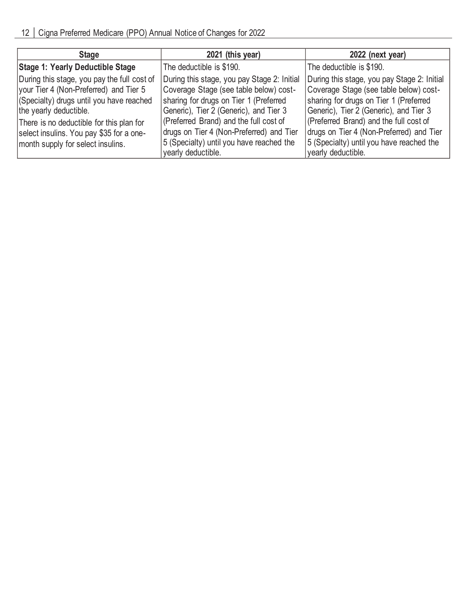| 2021 (this year)                                                                                                               | 2022 (next year)                                                                                                                                     |
|--------------------------------------------------------------------------------------------------------------------------------|------------------------------------------------------------------------------------------------------------------------------------------------------|
| The deductible is \$190.                                                                                                       | The deductible is \$190.                                                                                                                             |
| During this stage, you pay Stage 2: Initial                                                                                    | During this stage, you pay Stage 2: Initial<br>Coverage Stage (see table below) cost-                                                                |
| sharing for drugs on Tier 1 (Preferred<br>Generic), Tier 2 (Generic), and Tier 3                                               | sharing for drugs on Tier 1 (Preferred<br>Generic), Tier 2 (Generic), and Tier 3                                                                     |
| (Preferred Brand) and the full cost of<br>drugs on Tier 4 (Non-Preferred) and Tier<br>5 (Specialty) until you have reached the | (Preferred Brand) and the full cost of<br>drugs on Tier 4 (Non-Preferred) and Tier<br>5 (Specialty) until you have reached the<br>yearly deductible. |
|                                                                                                                                | Coverage Stage (see table below) cost-<br>yearly deductible.                                                                                         |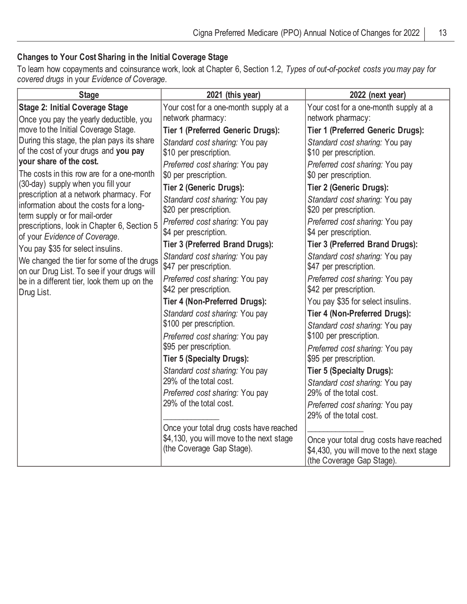## **Changes to Your Cost Sharing in the Initial Coverage Stage**

To learn how copayments and coinsurance work, look at Chapter 6, Section 1.2, *Types of out-of-pocket costs you may pay for covered drugs* in your *Evidence of Coverage*.

| <b>Stage</b>                                                                                                                                                | 2021 (this year)                                                                                                     | 2022 (next year)                                                                                                     |
|-------------------------------------------------------------------------------------------------------------------------------------------------------------|----------------------------------------------------------------------------------------------------------------------|----------------------------------------------------------------------------------------------------------------------|
| <b>Stage 2: Initial Coverage Stage</b><br>Once you pay the yearly deductible, you                                                                           | Your cost for a one-month supply at a<br>network pharmacy:                                                           | Your cost for a one-month supply at a<br>network pharmacy:                                                           |
| move to the Initial Coverage Stage.                                                                                                                         | <b>Tier 1 (Preferred Generic Drugs):</b>                                                                             | <b>Tier 1 (Preferred Generic Drugs):</b>                                                                             |
| During this stage, the plan pays its share<br>of the cost of your drugs and you pay<br>your share of the cost.<br>The costs in this row are for a one-month | Standard cost sharing: You pay<br>\$10 per prescription.<br>Preferred cost sharing: You pay<br>\$0 per prescription. | Standard cost sharing: You pay<br>\$10 per prescription.<br>Preferred cost sharing: You pay<br>\$0 per prescription. |
| (30-day) supply when you fill your                                                                                                                          | <b>Tier 2 (Generic Drugs):</b>                                                                                       | <b>Tier 2 (Generic Drugs):</b>                                                                                       |
| prescription at a network pharmacy. For<br>information about the costs for a long-<br>term supply or for mail-order                                         | Standard cost sharing: You pay<br>\$20 per prescription.                                                             | Standard cost sharing: You pay<br>\$20 per prescription.                                                             |
| prescriptions, look in Chapter 6, Section 5<br>of your Evidence of Coverage.                                                                                | Preferred cost sharing: You pay<br>\$4 per prescription.                                                             | Preferred cost sharing: You pay<br>\$4 per prescription.                                                             |
| You pay \$35 for select insulins.                                                                                                                           | <b>Tier 3 (Preferred Brand Drugs):</b>                                                                               | <b>Tier 3 (Preferred Brand Drugs):</b>                                                                               |
| We changed the tier for some of the drugs<br>on our Drug List. To see if your drugs will                                                                    | Standard cost sharing: You pay<br>\$47 per prescription.                                                             | Standard cost sharing: You pay<br>\$47 per prescription.                                                             |
| be in a different tier, look them up on the<br>Drug List.                                                                                                   | Preferred cost sharing: You pay<br>\$42 per prescription.                                                            | Preferred cost sharing: You pay<br>\$42 per prescription.                                                            |
|                                                                                                                                                             | Tier 4 (Non-Preferred Drugs):                                                                                        | You pay \$35 for select insulins.                                                                                    |
|                                                                                                                                                             | Standard cost sharing: You pay                                                                                       | Tier 4 (Non-Preferred Drugs):                                                                                        |
|                                                                                                                                                             | \$100 per prescription.<br>Preferred cost sharing: You pay                                                           | Standard cost sharing: You pay<br>\$100 per prescription.                                                            |
|                                                                                                                                                             | \$95 per prescription.                                                                                               | Preferred cost sharing: You pay                                                                                      |
|                                                                                                                                                             | <b>Tier 5 (Specialty Drugs):</b>                                                                                     | \$95 per prescription.                                                                                               |
|                                                                                                                                                             | Standard cost sharing: You pay                                                                                       | <b>Tier 5 (Specialty Drugs):</b>                                                                                     |
|                                                                                                                                                             | 29% of the total cost.                                                                                               | Standard cost sharing: You pay                                                                                       |
|                                                                                                                                                             | Preferred cost sharing: You pay                                                                                      | 29% of the total cost.                                                                                               |
|                                                                                                                                                             | 29% of the total cost.                                                                                               | Preferred cost sharing: You pay<br>29% of the total cost.                                                            |
|                                                                                                                                                             | Once your total drug costs have reached                                                                              |                                                                                                                      |
|                                                                                                                                                             | \$4,130, you will move to the next stage                                                                             | Once your total drug costs have reached                                                                              |
|                                                                                                                                                             | (the Coverage Gap Stage).                                                                                            | \$4,430, you will move to the next stage<br>(the Coverage Gap Stage).                                                |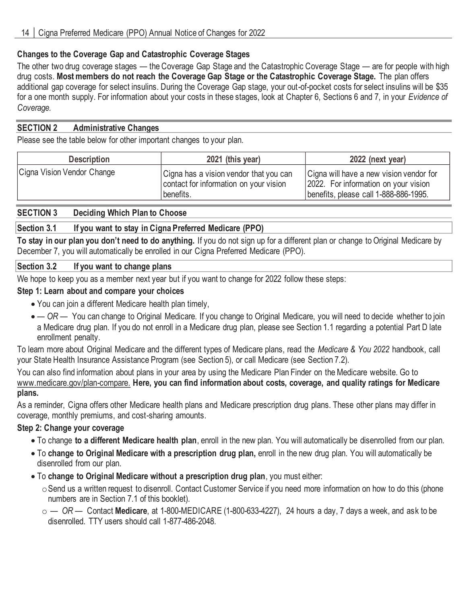## **Changes to the Coverage Gap and Catastrophic Coverage Stages**

The other two drug coverage stages — the Coverage Gap Stage and the Catastrophic Coverage Stage — are for people with high drug costs. **Most members do not reach the Coverage Gap Stage or the Catastrophic Coverage Stage.** The plan offers additional gap coverage for select insulins. During the Coverage Gap stage, your out-of-pocket costs for select insulins will be \$35 for a one month supply. For information about your costs in these stages, look at Chapter 6, Sections 6 and 7, in your *Evidence of Coverage.*

#### **SECTION 2 Administrative Changes**

Please see the table below for other important changes to your plan.

| <b>Description</b>         | 2021 (this year)                                                                               | 2022 (next year)                                                                                                         |
|----------------------------|------------------------------------------------------------------------------------------------|--------------------------------------------------------------------------------------------------------------------------|
| Cigna Vision Vendor Change | Cigna has a vision vendor that you can<br>contact for information on your vision<br> benefits. | Cigna will have a new vision vendor for<br>2022. For information on your vision<br>benefits, please call 1-888-886-1995. |

## **SECTION 3 Deciding Which Plan to Choose**

## **Section 3.1 If you want to stay in Cigna Preferred Medicare (PPO)**

**To stay in our plan you don't need to do anything.** If you do not sign up for a different plan or change to Original Medicare by December 7, you will automatically be enrolled in our Cigna Preferred Medicare (PPO).

#### **Section 3.2 If you want to change plans**

We hope to keep you as a member next year but if you want to change for 2022 follow these steps:

#### **Step 1: Learn about and compare your choices**

- You can join a different Medicare health plan timely,
- *— OR —* You can change to Original Medicare. If you change to Original Medicare, you will need to decide whether to join a Medicare drug plan. If you do not enroll in a Medicare drug plan, please see Section 1.1 regarding a potential Part D late enrollment penalty.

To learn more about Original Medicare and the different types of Medicare plans, read the *Medicare & You 2022* handbook, call your State Health Insurance Assistance Program (see Section 5), or call Medicare (see Section 7.2).

You can also find information about plans in your area by using the Medicare Plan Finder on the Medicare website. Go to www.medicare.gov/plan-compare. **Here, you can find information about costs, coverage, and quality ratings for Medicare plans.**

As a reminder, Cigna offers other Medicare health plans and Medicare prescription drug plans. These other plans may differ in coverage, monthly premiums, and cost-sharing amounts.

## **Step 2: Change your coverage**

- To change **to a different Medicare health plan**, enroll in the new plan. You will automatically be disenrolled from our plan.
- To **change to Original Medicare with a prescription drug plan,** enroll in the new drug plan. You will automatically be disenrolled from our plan.
- To **change to Original Medicare without a prescription drug plan**, you must either:
	- oSend us a written request to disenroll. Contact Customer Service if you need more information on how to do this (phone numbers are in Section 7.1 of this booklet).
	- o *— OR —* Contact **Medicare**, at 1-800-MEDICARE (1-800-633-4227), 24 hours a day, 7 days a week, and ask to be disenrolled. TTY users should call 1-877-486-2048.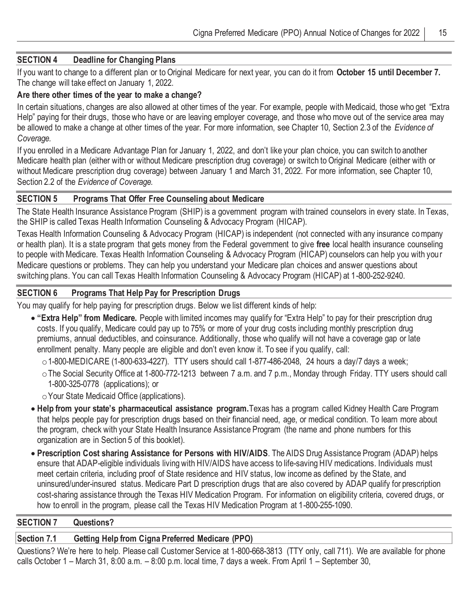#### **SECTION 4 Deadline for Changing Plans**

If you want to change to a different plan or to Original Medicare for next year, you can do it from **October 15 until December 7.**  The change will take effect on January 1, 2022.

#### **Are there other times of the year to make a change?**

In certain situations, changes are also allowed at other times of the year. For example, people with Medicaid, those who get "Extra Help" paying for their drugs, those who have or are leaving employer coverage, and those who move out of the service area may be allowed to make a change at other times of the year. For more information, see Chapter 10, Section 2.3 of the *Evidence of Coverage.*

If you enrolled in a Medicare Advantage Plan for January 1, 2022, and don't like your plan choice, you can switch to another Medicare health plan (either with or without Medicare prescription drug coverage) or switch to Original Medicare (either with or without Medicare prescription drug coverage) between January 1 and March 31, 2022. For more information, see Chapter 10, Section 2.2 of the *Evidence of Coverage.*

#### **SECTION 5 Programs That Offer Free Counseling about Medicare**

The State Health Insurance Assistance Program (SHIP) is a government program with trained counselors in every state. In Texas, the SHIP is called Texas Health Information Counseling & Advocacy Program (HICAP).

Texas Health Information Counseling & Advocacy Program (HICAP) is independent (not connected with any insurance company or health plan). It is a state program that gets money from the Federal government to give **free** local health insurance counseling to people with Medicare. Texas Health Information Counseling & Advocacy Program (HICAP) counselors can help you with your Medicare questions or problems. They can help you understand your Medicare plan choices and answer questions about switching plans. You can call Texas Health Information Counseling & Advocacy Program (HICAP) at 1-800-252-9240.

#### **SECTION 6 Programs That Help Pay for Prescription Drugs**

You may qualify for help paying for prescription drugs. Below we list different kinds of help:

• **"Extra Help" from Medicare.** People with limited incomes may qualify for "Extra Help" to pay for their prescription drug costs. If you qualify, Medicare could pay up to 75% or more of your drug costs including monthly prescription drug premiums, annual deductibles, and coinsurance. Additionally, those who qualify will not have a coverage gap or late enrollment penalty. Many people are eligible and don't even know it. To see if you qualify, call:

 $\circ$  1-800-MEDICARE (1-800-633-4227). TTY users should call 1-877-486-2048, 24 hours a day/7 days a week;

- oThe Social Security Office at 1-800-772-1213 between 7 a.m. and 7 p.m., Monday through Friday. TTY users should call 1-800-325-0778 (applications); or
- oYour State Medicaid Office (applications).
- **Help from your state's pharmaceutical assistance program.**Texas has a program called Kidney Health Care Program that helps people pay for prescription drugs based on their financial need, age, or medical condition. To learn more about the program, check with your State Health Insurance Assistance Program (the name and phone numbers for this organization are in Section 5 of this booklet).
- **Prescription Cost sharing Assistance for Persons with HIV/AIDS**. The AIDS Drug Assistance Program (ADAP) helps ensure that ADAP-eligible individuals living with HIV/AIDS have access to life-saving HIV medications. Individuals must meet certain criteria, including proof of State residence and HIV status, low income as defined by the State, and uninsured/under-insured status. Medicare Part D prescription drugs that are also covered by ADAP qualify for prescription cost-sharing assistance through the Texas HIV Medication Program. For information on eligibility criteria, covered drugs, or how to enroll in the program, please call the Texas HIV Medication Program at 1-800-255-1090.

#### **SECTION 7 Questions?**

## **Section 7.1 Getting Help from Cigna Preferred Medicare (PPO)**

Questions? We're here to help. Please call Customer Service at 1-800-668-3813 (TTY only, call 711). We are available for phone calls October 1 – March 31, 8:00 a.m. – 8:00 p.m. local time, 7 days a week. From April 1 – September 30,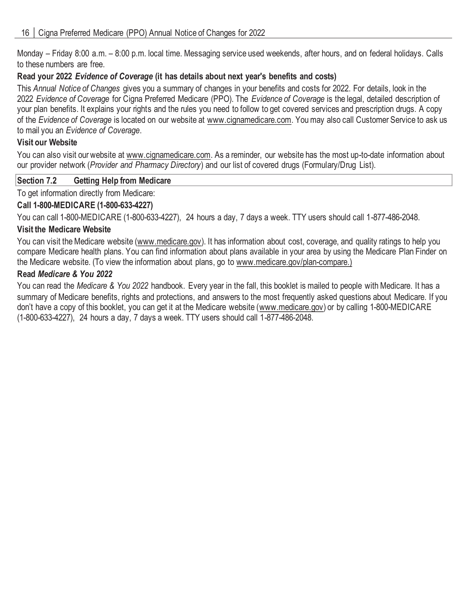Monday – Friday 8:00 a.m. – 8:00 p.m. local time. Messaging service used weekends, after hours, and on federal holidays. Calls to these numbers are free.

## **Read your 2022** *Evidence of Coverage* **(it has details about next year's benefits and costs)**

This *Annual Notice of Changes* gives you a summary of changes in your benefits and costs for 2022. For details, look in the 2022 *Evidence of Coverage* for Cigna Preferred Medicare (PPO). The *Evidence of Coverage* is the legal, detailed description of your plan benefits. It explains your rights and the rules you need to follow to get covered services and prescription drugs. A copy of the *Evidence of Coverage* is located on our website at www.cignamedicare.com. You may also call Customer Service to ask us to mail you an *Evidence of Coverage*.

## **Visit our Website**

You can also visit our website at www.cignamedicare.com. As a reminder, our website has the most up-to-date information about our provider network (*Provider and Pharmacy Directory*) and our list of covered drugs (Formulary/Drug List).

## **Section 7.2 Getting Help from Medicare**

To get information directly from Medicare:

## **Call 1-800-MEDICARE (1-800-633-4227)**

You can call 1-800-MEDICARE (1-800-633-4227), 24 hours a day, 7 days a week. TTY users should call 1-877-486-2048.

## **Visit the Medicare Website**

You can visit the Medicare website (www.medicare.gov). It has information about cost, coverage, and quality ratings to help you compare Medicare health plans. You can find information about plans available in your area by using the Medicare Plan Finder on the Medicare website. (To view the information about plans, go to www.medicare.gov/plan-compare.)

## **Read** *Medicare & You 2022*

You can read the *Medicare & You 2022* handbook. Every year in the fall, this booklet is mailed to people with Medicare. It has a summary of Medicare benefits, rights and protections, and answers to the most frequently asked questions about Medicare. If you don't have a copy of this booklet, you can get it at the Medicare website (www.medicare.gov) or by calling 1-800-MEDICARE (1-800-633-4227), 24 hours a day, 7 days a week. TTY users should call 1-877-486-2048.